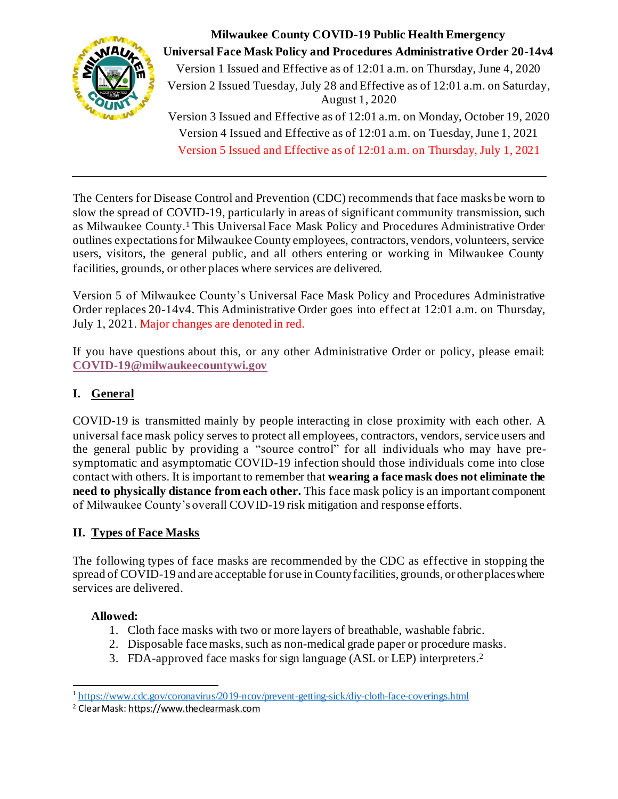

**Milwaukee County COVID-19 Public Health Emergency Universal Face Mask Policy and Procedures Administrative Order 20-14v4** Version 1 Issued and Effective as of 12:01 a.m. on Thursday, June 4, 2020 Version 2 Issued Tuesday, July 28 and Effective as of 12:01 a.m. on Saturday, August 1, 2020 Version 3 Issued and Effective as of 12:01 a.m. on Monday, October 19, 2020 Version 4 Issued and Effective as of 12:01 a.m. on Tuesday, June 1, 2021 Version 5 Issued and Effective as of 12:01 a.m. on Thursday, July 1, 2021

The Centers for Disease Control and Prevention (CDC) recommends that face masks be worn to slow the spread of COVID-19, particularly in areas of significant community transmission, such as Milwaukee County.<sup>1</sup> This Universal Face Mask Policy and Procedures Administrative Order outlines expectations for Milwaukee County employees, contractors, vendors, volunteers, service users, visitors, the general public, and all others entering or working in Milwaukee County facilities, grounds, or other places where services are delivered.

Version 5 of Milwaukee County's Universal Face Mask Policy and Procedures Administrative Order replaces 20-14v4. This Administrative Order goes into effect at 12:01 a.m. on Thursday, July 1, 2021. Major changes are denoted in red.

If you have questions about this, or any other Administrative Order or policy, please email: **COVID-19@milwaukeecountywi.gov**

# **I. General**

COVID-19 is transmitted mainly by people interacting in close proximity with each other. A universal face mask policy serves to protect all employees, contractors, vendors, service users and the general public by providing a "source control" for all individuals who may have presymptomatic and asymptomatic COVID-19 infection should those individuals come into close contact with others. It is important to remember that **wearing a face mask does not eliminate the need to physically distance from each other.** This face mask policy is an important component of Milwaukee County's overall COVID-19 risk mitigation and response efforts.

# **II. Types of Face Masks**

The following types of face masks are recommended by the CDC as effective in stopping the spread of COVID-19 and are acceptable for use in County facilities, grounds, or other places where services are delivered.

# **Allowed:**

- 1. Cloth face masks with two or more layers of breathable, washable fabric.
- 2. Disposable face masks, such as non-medical grade paper or procedure masks.
- 3. FDA-approved face masks for sign language (ASL or LEP) interpreters. 2

<sup>&</sup>lt;sup>1</sup>https://www.cdc.gov/coronavirus/2019-ncov/prevent-getting-sick/diy-cloth-face-coverings.html

<sup>2</sup> ClearMask: https://www.theclearmask.com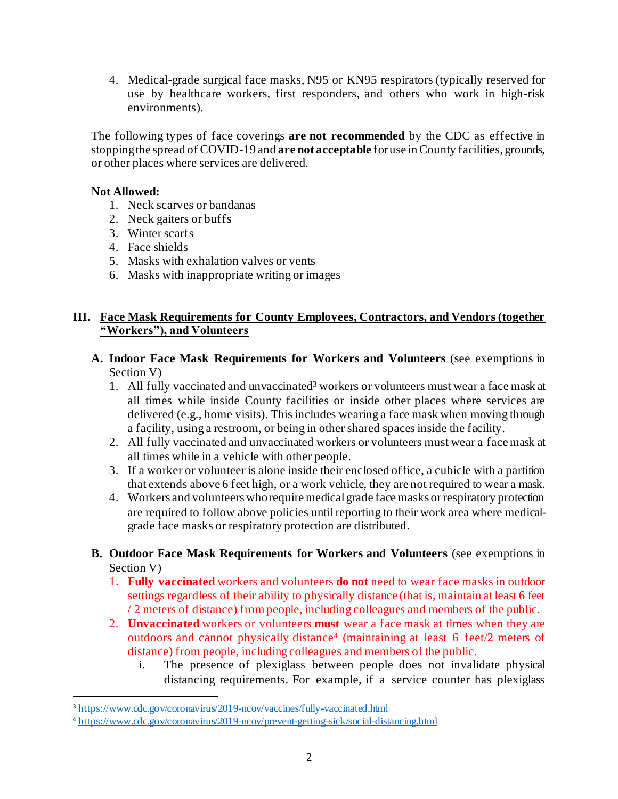4. Medical-grade surgical face masks, N95 or KN95 respirators (typically reserved for use by healthcare workers, first responders, and others who work in high-risk environments).

The following types of face coverings **are not recommended** by the CDC as effective in stopping the spread of COVID-19 and **are not acceptable** for use in County facilities, grounds, or other places where services are delivered.

#### **Not Allowed:**

- 1. Neck scarves or bandanas
- 2. Neck gaiters or buffs
- 3. Winter scarfs
- 4. Face shields
- 5. Masks with exhalation valves or vents
- 6. Masks with inappropriate writing or images

#### **III. Face Mask Requirements for County Employees, Contractors, and Vendors (together "Workers"), and Volunteers**

- **A. Indoor Face Mask Requirements for Workers and Volunteers** (see exemptions in Section V)
	- 1. All fully vaccinated and unvaccinated<sup>3</sup> workers or volunteers must wear a face mask at all times while inside County facilities or inside other places where services are delivered (e.g., home visits). This includes wearing a face mask when moving through a facility, using a restroom, or being in other shared spaces inside the facility.
	- 2. All fully vaccinated and unvaccinated workers or volunteers must wear a face mask at all times while in a vehicle with other people.
	- 3. If a worker or volunteer is alone inside their enclosed office, a cubicle with a partition that extends above 6 feet high, or a work vehicle, they are not required to wear a mask.
	- 4. Workers and volunteers who require medical grade face masks or respiratory protection are required to follow above policies until reporting to their work area where medicalgrade face masks or respiratory protection are distributed.
- **B. Outdoor Face Mask Requirements for Workers and Volunteers** (see exemptions in Section V)
	- 1. **Fully vaccinated** workers and volunteers **do not** need to wear face masks in outdoor settings regardless of their ability to physically distance (that is, maintain at least 6 feet / 2 meters of distance) from people, including colleagues and members of the public.
	- 2. **Unvaccinated** workers or volunteers **must** wear a face mask at times when they are outdoors and cannot physically distance 4 (maintaining at least 6 feet/2 meters of distance) from people, including colleagues and members of the public.
		- i. The presence of plexiglass between people does not invalidate physical distancing requirements. For example, if a service counter has plexiglass

<sup>3</sup> https://www.cdc.gov/coronavirus/2019-ncov/vaccines/fully-vaccinated.html

<sup>4</sup> https://www.cdc.gov/coronavirus/2019-ncov/prevent-getting-sick/social-distancing.html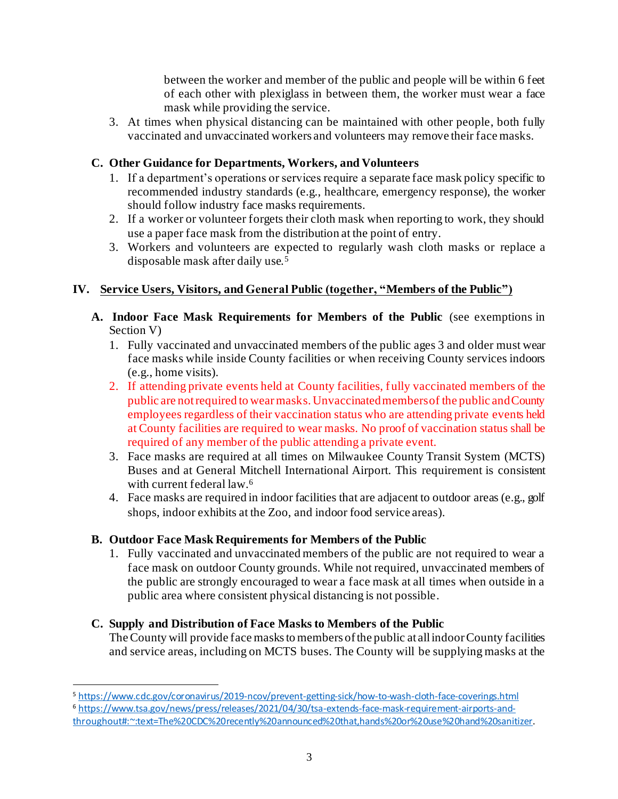between the worker and member of the public and people will be within 6 feet of each other with plexiglass in between them, the worker must wear a face mask while providing the service.

3. At times when physical distancing can be maintained with other people, both fully vaccinated and unvaccinated workers and volunteers may remove their face masks.

# **C. Other Guidance for Departments, Workers, and Volunteers**

- 1. If a department's operations or services require a separate face mask policy specific to recommended industry standards (e.g., healthcare, emergency response), the worker should follow industry face masks requirements.
- 2. If a worker or volunteer forgets their cloth mask when reporting to work, they should use a paper face mask from the distribution at the point of entry.
- 3. Workers and volunteers are expected to regularly wash cloth masks or replace a disposable mask after daily use.<sup>5</sup>

# **IV. Service Users, Visitors, and General Public (together, "Members of the Public")**

- **A. Indoor Face Mask Requirements for Members of the Public** (see exemptions in Section V)
	- 1. Fully vaccinated and unvaccinated members of the public ages 3 and older must wear face masks while inside County facilities or when receiving County services indoors (e.g., home visits).
	- 2. If attending private events held at County facilities, fully vaccinated members of the public are not required to wear masks. Unvaccinated members of the public and County employees regardless of their vaccination status who are attending private events held at County facilities are required to wear masks. No proof of vaccination status shall be required of any member of the public attending a private event.
	- 3. Face masks are required at all times on Milwaukee County Transit System (MCTS) Buses and at General Mitchell International Airport. This requirement is consistent with current federal law. 6
	- 4. Face masks are required in indoor facilities that are adjacent to outdoor areas (e.g., golf shops, indoor exhibits at the Zoo, and indoor food service areas).

# **B. Outdoor Face Mask Requirements for Members of the Public**

1. Fully vaccinated and unvaccinated members of the public are not required to wear a face mask on outdoor County grounds. While not required, unvaccinated members of the public are strongly encouraged to wear a face mask at all times when outside in a public area where consistent physical distancing is not possible.

# **C. Supply and Distribution of Face Masks to Members of the Public**

The County will provide face masks to members of the public at all indoor County facilities and service areas, including on MCTS buses. The County will be supplying masks at the

<sup>5</sup> https://www.cdc.gov/coronavirus/2019-ncov/prevent-getting-sick/how-to-wash-cloth-face-coverings.html

<sup>6</sup> https://www.tsa.gov/news/press/releases/2021/04/30/tsa-extends-face-mask-requirement-airports-andthroughout#:~:text=The%20CDC%20recently%20announced%20that,hands%20or%20use%20hand%20sanitizer.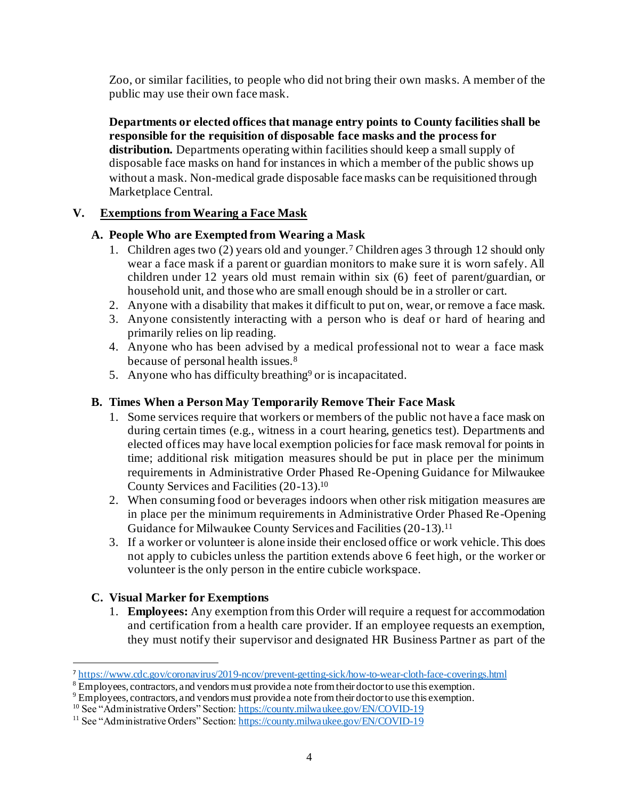Zoo, or similar facilities, to people who did not bring their own masks. A member of the public may use their own face mask.

**Departments or elected offices that manage entry points to County facilities shall be responsible for the requisition of disposable face masks and the process for distribution.** Departments operating within facilities should keep a small supply of disposable face masks on hand for instances in which a member of the public shows up without a mask. Non-medical grade disposable face masks can be requisitioned through Marketplace Central.

## **V. Exemptions from Wearing a Face Mask**

## **A. People Who are Exempted from Wearing a Mask**

- 1. Children ages two (2) years old and younger.<sup>7</sup> Children ages 3 through 12 should only wear a face mask if a parent or guardian monitors to make sure it is worn safely. All children under 12 years old must remain within six (6) feet of parent/guardian, or household unit, and those who are small enough should be in a stroller or cart.
- 2. Anyone with a disability that makes it difficult to put on, wear, or remove a face mask.
- 3. Anyone consistently interacting with a person who is deaf or hard of hearing and primarily relies on lip reading.
- 4. Anyone who has been advised by a medical professional not to wear a face mask because of personal health issues.<sup>8</sup>
- 5. Anyone who has difficulty breathing<sup>9</sup> or is incapacitated.

## **B. Times When a Person May Temporarily Remove Their Face Mask**

- 1. Some services require that workers or members of the public not have a face mask on during certain times (e.g., witness in a court hearing, genetics test). Departments and elected offices may have local exemption policies for face mask removal for points in time; additional risk mitigation measures should be put in place per the minimum requirements in Administrative Order Phased Re-Opening Guidance for Milwaukee County Services and Facilities (20-13).<sup>10</sup>
- 2. When consuming food or beverages indoors when other risk mitigation measures are in place per the minimum requirements in Administrative Order Phased Re-Opening Guidance for Milwaukee County Services and Facilities (20-13). 11
- 3. If a worker or volunteer is alone inside their enclosed office or work vehicle. This does not apply to cubicles unless the partition extends above 6 feet high, or the worker or volunteer is the only person in the entire cubicle workspace.

#### **C. Visual Marker for Exemptions**

1. **Employees:** Any exemption from this Order will require a request for accommodation and certification from a health care provider. If an employee requests an exemption, they must notify their supervisor and designated HR Business Partner as part of the

<sup>7</sup> https://www.cdc.gov/coronavirus/2019-ncov/prevent-getting-sick/how-to-wear-cloth-face-coverings.html

 $8 \text{Employees}$ , contractors, and vendors must provide a note from their doctor to use this exemption.

<sup>&</sup>lt;sup>9</sup> Employees, contractors, and vendors must provide a note from their doctor to use this exemption.

<sup>&</sup>lt;sup>10</sup> See "Administrative Orders" Section: https://county.milwaukee.gov/EN/COVID-19

<sup>&</sup>lt;sup>11</sup> See "Administrative Orders" Section: https://county.milwaukee.gov/EN/COVID-19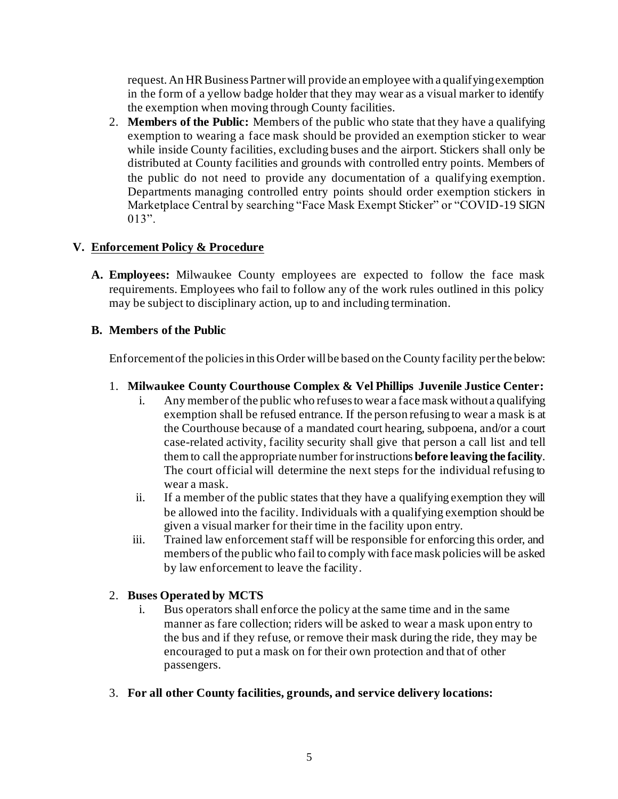request. An HR Business Partner will provide an employee with a qualifying exemption in the form of a yellow badge holder that they may wear as a visual marker to identify the exemption when moving through County facilities.

2. **Members of the Public:** Members of the public who state that they have a qualifying exemption to wearing a face mask should be provided an exemption sticker to wear while inside County facilities, excluding buses and the airport. Stickers shall only be distributed at County facilities and grounds with controlled entry points. Members of the public do not need to provide any documentation of a qualifying exemption. Departments managing controlled entry points should order exemption stickers in Marketplace Central by searching "Face Mask Exempt Sticker" or "COVID-19 SIGN 013".

## **V. Enforcement Policy & Procedure**

**A. Employees:** Milwaukee County employees are expected to follow the face mask requirements. Employees who fail to follow any of the work rules outlined in this policy may be subject to disciplinary action, up to and including termination.

## **B. Members of the Public**

Enforcement of the policies in this Order will be based on the County facility per the below:

#### 1. **Milwaukee County Courthouse Complex & Vel Phillips Juvenile Justice Center:**

- i. Any member of the public who refuses to wear a face mask without a qualifying exemption shall be refused entrance. If the person refusing to wear a mask is at the Courthouse because of a mandated court hearing, subpoena, and/or a court case-related activity, facility security shall give that person a call list and tell them to call the appropriate number for instructions **before leaving the facility**. The court official will determine the next steps for the individual refusing to wear a mask.
- ii. If a member of the public states that they have a qualifying exemption they will be allowed into the facility. Individuals with a qualifying exemption should be given a visual marker for their time in the facility upon entry.
- iii. Trained law enforcement staff will be responsible for enforcing this order, and members of the public who fail to comply with face mask policies will be asked by law enforcement to leave the facility.

#### 2. **Buses Operated by MCTS**

- i. Bus operators shall enforce the policy at the same time and in the same manner as fare collection; riders will be asked to wear a mask upon entry to the bus and if they refuse, or remove their mask during the ride, they may be encouraged to put a mask on for their own protection and that of other passengers.
- 3. **For all other County facilities, grounds, and service delivery locations:**